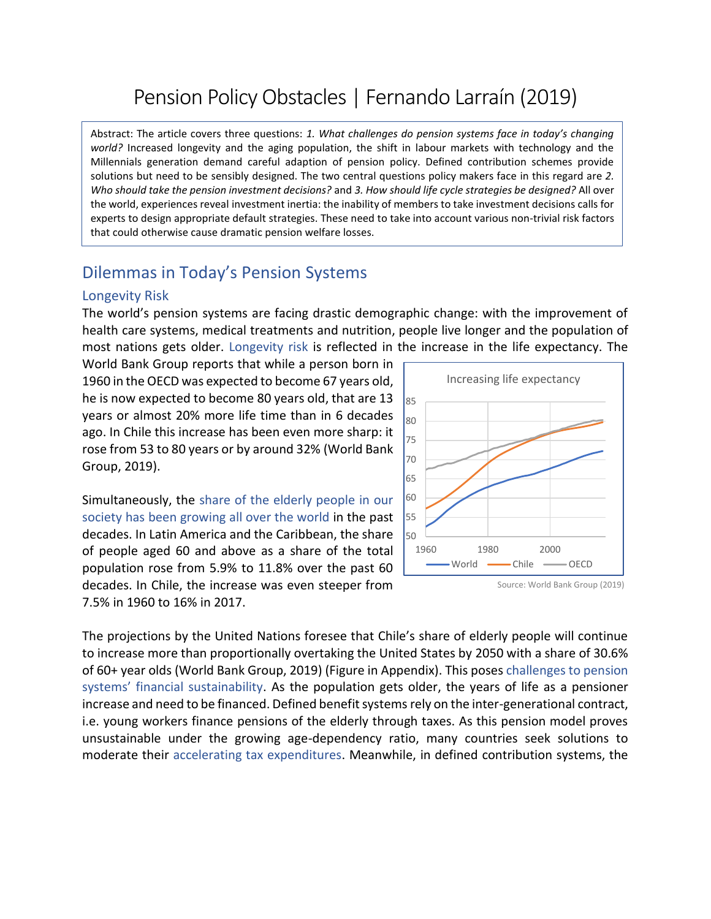# Pension Policy Obstacles | Fernando Larraín (2019)

Abstract: The article covers three questions: *1. What challenges do pension systems face in today's changing world?* Increased longevity and the aging population, the shift in labour markets with technology and the Millennials generation demand careful adaption of pension policy. Defined contribution schemes provide solutions but need to be sensibly designed. The two central questions policy makers face in this regard are *2. Who should take the pension investment decisions?* and *3. How should life cycle strategies be designed?* All over the world, experiences reveal investment inertia: the inability of members to take investment decisions calls for experts to design appropriate default strategies. These need to take into account various non-trivial risk factors that could otherwise cause dramatic pension welfare losses.

# Dilemmas in Today's Pension Systems

#### Longevity Risk

The world's pension systems are facing drastic demographic change: with the improvement of health care systems, medical treatments and nutrition, people live longer and the population of most nations gets older. Longevity risk is reflected in the increase in the life expectancy. The

World Bank Group reports that while a person born in 1960 in the OECD was expected to become 67 years old, he is now expected to become 80 years old, that are 13 years or almost 20% more life time than in 6 decades ago. In Chile this increase has been even more sharp: it rose from 53 to 80 years or by around 32% (World Bank Group, 2019).

Simultaneously, the share of the elderly people in our society has been growing all over the world in the past decades. In Latin America and the Caribbean, the share of people aged 60 and above as a share of the total population rose from 5.9% to 11.8% over the past 60 decades. In Chile, the increase was even steeper from 7.5% in 1960 to 16% in 2017.



Source: World Bank Group (2019)

The projections by the United Nations foresee that Chile's share of elderly people will continue to increase more than proportionally overtaking the United States by 2050 with a share of 30.6% of 60+ year olds (World Bank Group, 2019) (Figure in Appendix). This poses challenges to pension systems' financial sustainability. As the population gets older, the years of life as a pensioner increase and need to be financed. Defined benefit systems rely on the inter-generational contract, i.e. young workers finance pensions of the elderly through taxes. As this pension model proves unsustainable under the growing age-dependency ratio, many countries seek solutions to moderate their accelerating tax expenditures. Meanwhile, in defined contribution systems, the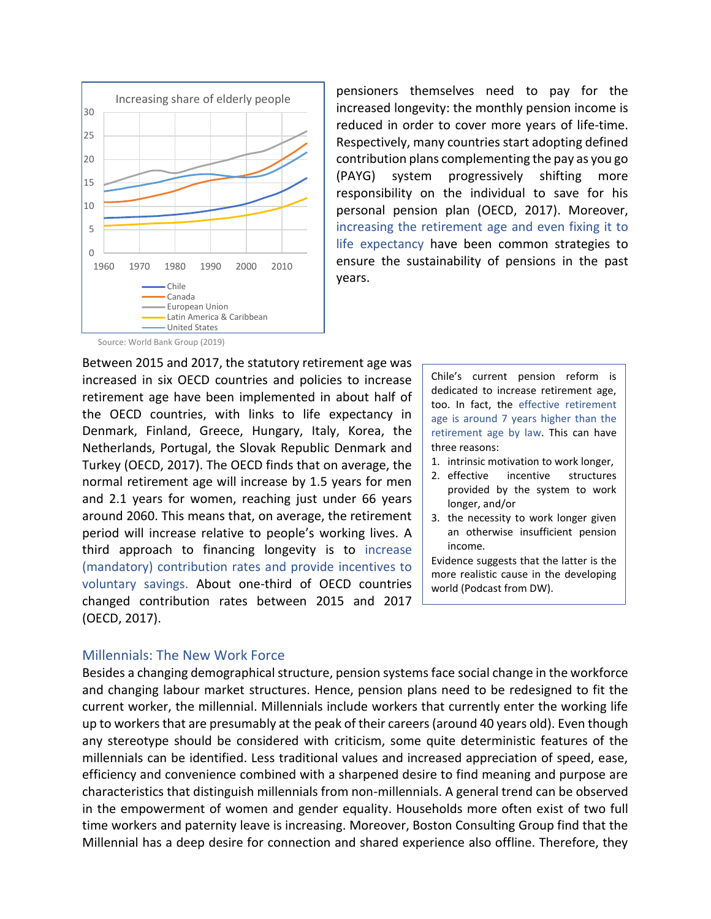

pensioners themselves need to pay for the increased longevity: the monthly pension income is reduced in order to cover more years of life-time. Respectively, many countries start adopting defined contribution plans complementing the pay as you go (PAYG) system progressively shifting more responsibility on the individual to save for his personal pension plan (OECD, 2017). Moreover, increasing the retirement age and even fixing it to life expectancy have been common strategies to ensure the sustainability of pensions in the past years.

Source: World Bank Group (2019)

Between 2015 and 2017, the statutory retirement age was increased in six OECD countries and policies to increase retirement age have been implemented in about half of the OECD countries, with links to life expectancy in Denmark, Finland, Greece, Hungary, Italy, Korea, the Netherlands, Portugal, the Slovak Republic Denmark and Turkey (OECD, 2017). The OECD finds that on average, the normal retirement age will increase by 1.5 years for men and 2.1 years for women, reaching just under 66 years around 2060. This means that, on average, the retirement period will increase relative to people's working lives. A third approach to financing longevity is to increase (mandatory) contribution rates and provide incentives to voluntary savings. About one-third of OECD countries changed contribution rates between 2015 and 2017 (OECD, 2017).

Chile's current pension reform is dedicated to increase retirement age, too. In fact, the effective retirement age is around 7 years higher than the retirement age by law. This can have three reasons:

- 1. intrinsic motivation to work longer,
- 2. effective incentive structures provided by the system to work longer, and/or
- 3. the necessity to work longer given an otherwise insufficient pension income.

Evidence suggests that the latter is the more realistic cause in the developing world (Podcast from DW).

### Millennials: The New Work Force

Besides a changing demographical structure, pension systems face social change in the workforce and changing labour market structures. Hence, pension plans need to be redesigned to fit the current worker, the millennial. Millennials include workers that currently enter the working life up to workers that are presumably at the peak of their careers (around 40 years old). Even though any stereotype should be considered with criticism, some quite deterministic features of the millennials can be identified. Less traditional values and increased appreciation of speed, ease, efficiency and convenience combined with a sharpened desire to find meaning and purpose are characteristics that distinguish millennials from non-millennials. A general trend can be observed in the empowerment of women and gender equality. Households more often exist of two full time workers and paternity leave is increasing. Moreover, Boston Consulting Group find that the Millennial has a deep desire for connection and shared experience also offline. Therefore, they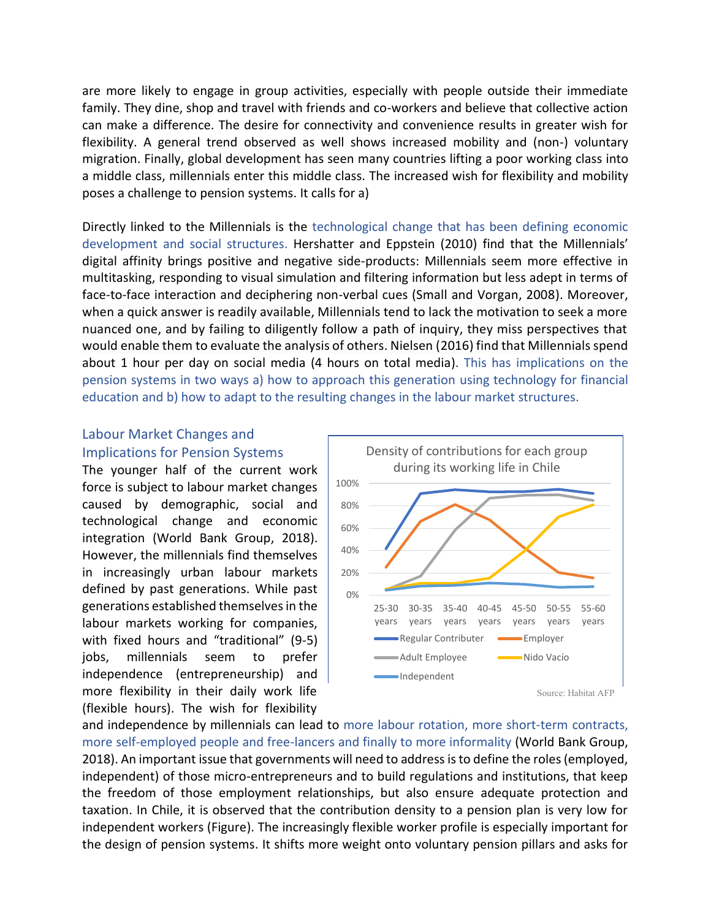are more likely to engage in group activities, especially with people outside their immediate family. They dine, shop and travel with friends and co-workers and believe that collective action can make a difference. The desire for connectivity and convenience results in greater wish for flexibility. A general trend observed as well shows increased mobility and (non-) voluntary migration. Finally, global development has seen many countries lifting a poor working class into a middle class, millennials enter this middle class. The increased wish for flexibility and mobility poses a challenge to pension systems. It calls for a)

Directly linked to the Millennials is the technological change that has been defining economic development and social structures. Hershatter and Eppstein (2010) find that the Millennials' digital affinity brings positive and negative side-products: Millennials seem more effective in multitasking, responding to visual simulation and filtering information but less adept in terms of face-to-face interaction and deciphering non-verbal cues (Small and Vorgan, 2008). Moreover, when a quick answer is readily available, Millennials tend to lack the motivation to seek a more nuanced one, and by failing to diligently follow a path of inquiry, they miss perspectives that would enable them to evaluate the analysis of others. Nielsen (2016) find that Millennials spend about 1 hour per day on social media (4 hours on total media). This has implications on the pension systems in two ways a) how to approach this generation using technology for financial education and b) how to adapt to the resulting changes in the labour market structures.

### Labour Market Changes and Implications for Pension Systems

The younger half of the current work force is subject to labour market changes caused by demographic, social and technological change and economic integration (World Bank Group, 2018). However, the millennials find themselves in increasingly urban labour markets defined by past generations. While past generations established themselves in the labour markets working for companies, with fixed hours and "traditional" (9-5) jobs, millennials seem to prefer independence (entrepreneurship) and more flexibility in their daily work life (flexible hours). The wish for flexibility



and independence by millennials can lead to more labour rotation, more short-term contracts, more self-employed people and free-lancers and finally to more informality (World Bank Group, 2018). An important issue that governments will need to address is to define the roles (employed, independent) of those micro-entrepreneurs and to build regulations and institutions, that keep the freedom of those employment relationships, but also ensure adequate protection and taxation. In Chile, it is observed that the contribution density to a pension plan is very low for independent workers (Figure). The increasingly flexible worker profile is especially important for the design of pension systems. It shifts more weight onto voluntary pension pillars and asks for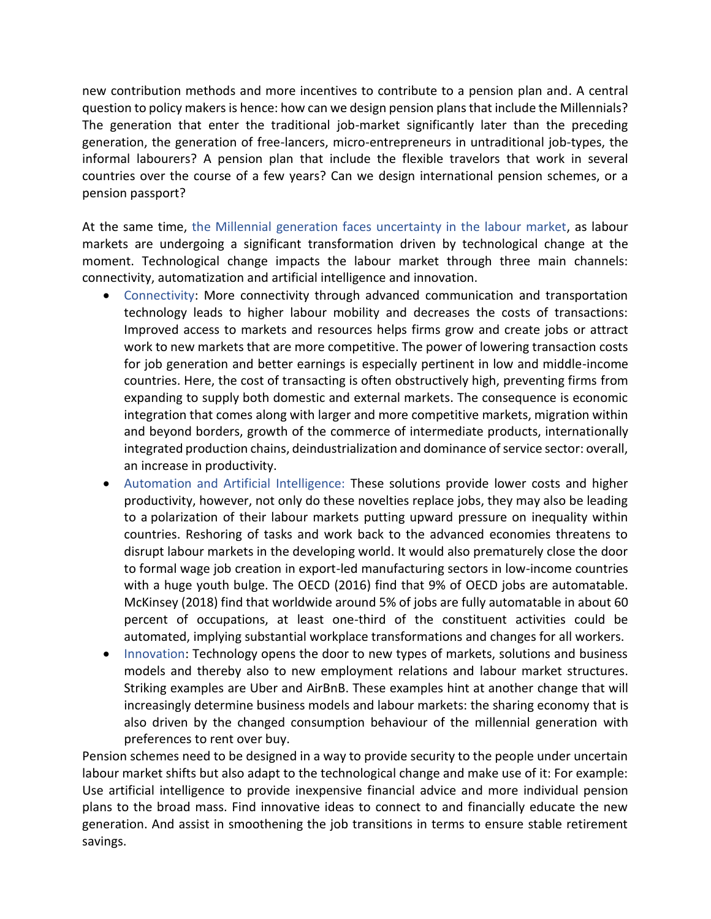new contribution methods and more incentives to contribute to a pension plan and. A central question to policy makers is hence: how can we design pension plans that include the Millennials? The generation that enter the traditional job-market significantly later than the preceding generation, the generation of free-lancers, micro-entrepreneurs in untraditional job-types, the informal labourers? A pension plan that include the flexible travelors that work in several countries over the course of a few years? Can we design international pension schemes, or a pension passport?

At the same time, the Millennial generation faces uncertainty in the labour market, as labour markets are undergoing a significant transformation driven by technological change at the moment. Technological change impacts the labour market through three main channels: connectivity, automatization and artificial intelligence and innovation.

- Connectivity: More connectivity through advanced communication and transportation technology leads to higher labour mobility and decreases the costs of transactions: Improved access to markets and resources helps firms grow and create jobs or attract work to new markets that are more competitive. The power of lowering transaction costs for job generation and better earnings is especially pertinent in low and middle-income countries. Here, the cost of transacting is often obstructively high, preventing firms from expanding to supply both domestic and external markets. The consequence is economic integration that comes along with larger and more competitive markets, migration within and beyond borders, growth of the commerce of intermediate products, internationally integrated production chains, deindustrialization and dominance of service sector: overall, an increase in productivity.
- Automation and Artificial Intelligence: These solutions provide lower costs and higher productivity, however, not only do these novelties replace jobs, they may also be leading to a polarization of their labour markets putting upward pressure on inequality within countries. Reshoring of tasks and work back to the advanced economies threatens to disrupt labour markets in the developing world. It would also prematurely close the door to formal wage job creation in export-led manufacturing sectors in low-income countries with a huge youth bulge. The OECD (2016) find that 9% of OECD jobs are automatable. McKinsey (2018) find that worldwide around 5% of jobs are fully automatable in about 60 percent of occupations, at least one-third of the constituent activities could be automated, implying substantial workplace transformations and changes for all workers.
- Innovation: Technology opens the door to new types of markets, solutions and business models and thereby also to new employment relations and labour market structures. Striking examples are Uber and AirBnB. These examples hint at another change that will increasingly determine business models and labour markets: the sharing economy that is also driven by the changed consumption behaviour of the millennial generation with preferences to rent over buy.

Pension schemes need to be designed in a way to provide security to the people under uncertain labour market shifts but also adapt to the technological change and make use of it: For example: Use artificial intelligence to provide inexpensive financial advice and more individual pension plans to the broad mass. Find innovative ideas to connect to and financially educate the new generation. And assist in smoothening the job transitions in terms to ensure stable retirement savings.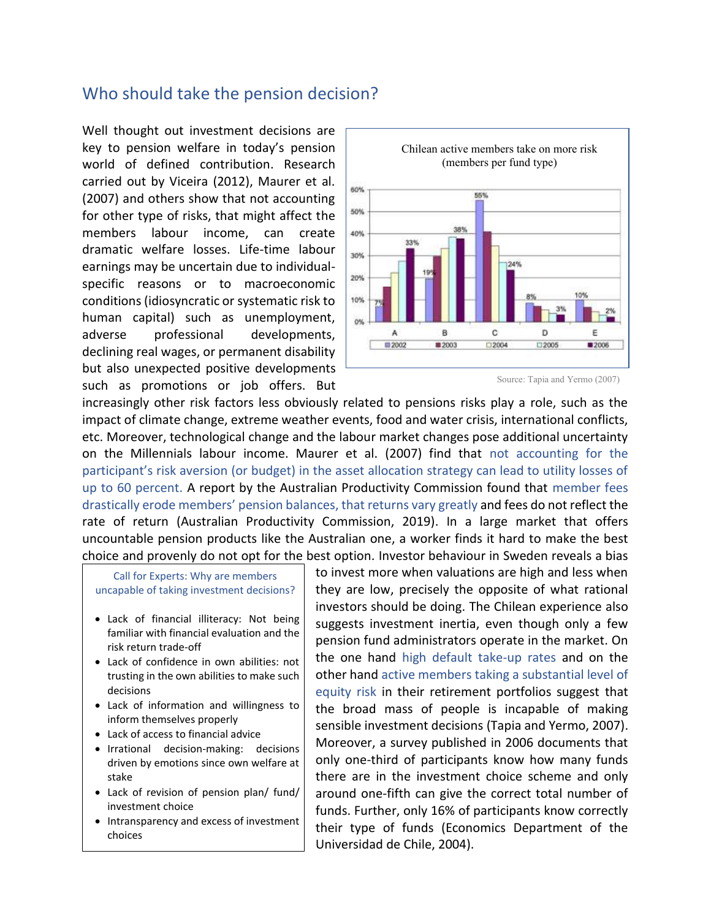## Who should take the pension decision?

Well thought out investment decisions are key to pension welfare in today's pension world of defined contribution. Research carried out by Viceira (2012), Maurer et al. (2007) and others show that not accounting for other type of risks, that might affect the members labour income, can create dramatic welfare losses. Life-time labour earnings may be uncertain due to individualspecific reasons or to macroeconomic conditions (idiosyncratic or systematic risk to human capital) such as unemployment, adverse professional developments, declining real wages, or permanent disability but also unexpected positive developments such as promotions or job offers. But



Source: Tapia and Yermo (2007)

increasingly other risk factors less obviously related to pensions risks play a role, such as the impact of climate change, extreme weather events, food and water crisis, international conflicts, etc. Moreover, technological change and the labour market changes pose additional uncertainty on the Millennials labour income. Maurer et al. (2007) find that not accounting for the participant's risk aversion (or budget) in the asset allocation strategy can lead to utility losses of up to 60 percent. A report by the Australian Productivity Commission found that member fees drastically erode members' pension balances, that returns vary greatly and fees do not reflect the rate of return (Australian Productivity Commission, 2019). In a large market that offers uncountable pension products like the Australian one, a worker finds it hard to make the best choice and provenly do not opt for the best option. Investor behaviour in Sweden reveals a bias

Call for Experts: Why are members uncapable of taking investment decisions?

- Lack of financial illiteracy: Not being familiar with financial evaluation and the risk return trade-off
- Lack of confidence in own abilities: not trusting in the own abilities to make such decisions
- Lack of information and willingness to inform themselves properly
- Lack of access to financial advice
- Irrational decision-making: decisions driven by emotions since own welfare at stake
- Lack of revision of pension plan/ fund/ investment choice
- Intransparency and excess of investment choices

to invest more when valuations are high and less when they are low, precisely the opposite of what rational investors should be doing. The Chilean experience also suggests investment inertia, even though only a few pension fund administrators operate in the market. On the one hand high default take-up rates and on the other hand active members taking a substantial level of equity risk in their retirement portfolios suggest that the broad mass of people is incapable of making sensible investment decisions (Tapia and Yermo, 2007). Moreover, a survey published in 2006 documents that only one-third of participants know how many funds there are in the investment choice scheme and only around one-fifth can give the correct total number of funds. Further, only 16% of participants know correctly their type of funds (Economics Department of the Universidad de Chile, 2004).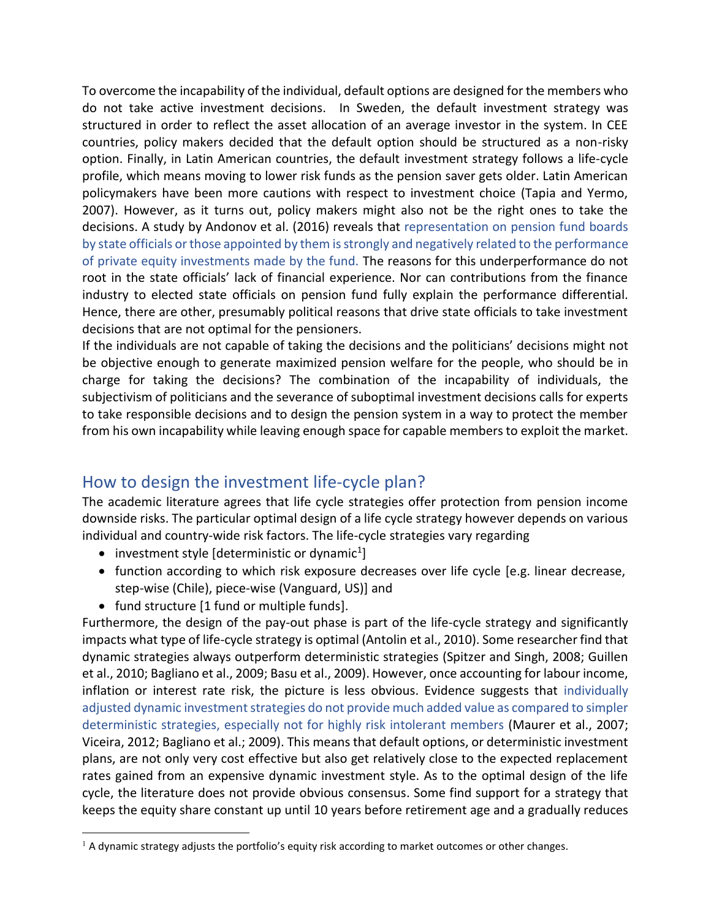To overcome the incapability of the individual, default options are designed for the members who do not take active investment decisions. In Sweden, the default investment strategy was structured in order to reflect the asset allocation of an average investor in the system. In CEE countries, policy makers decided that the default option should be structured as a non-risky option. Finally, in Latin American countries, the default investment strategy follows a life-cycle profile, which means moving to lower risk funds as the pension saver gets older. Latin American policymakers have been more cautions with respect to investment choice (Tapia and Yermo, 2007). However, as it turns out, policy makers might also not be the right ones to take the decisions. A study by Andonov et al. (2016) reveals that representation on pension fund boards by state officials or those appointed by them is strongly and negatively related to the performance of private equity investments made by the fund. The reasons for this underperformance do not root in the state officials' lack of financial experience. Nor can contributions from the finance industry to elected state officials on pension fund fully explain the performance differential. Hence, there are other, presumably political reasons that drive state officials to take investment decisions that are not optimal for the pensioners.

If the individuals are not capable of taking the decisions and the politicians' decisions might not be objective enough to generate maximized pension welfare for the people, who should be in charge for taking the decisions? The combination of the incapability of individuals, the subjectivism of politicians and the severance of suboptimal investment decisions calls for experts to take responsible decisions and to design the pension system in a way to protect the member from his own incapability while leaving enough space for capable members to exploit the market.

# How to design the investment life-cycle plan?

The academic literature agrees that life cycle strategies offer protection from pension income downside risks. The particular optimal design of a life cycle strategy however depends on various individual and country-wide risk factors. The life-cycle strategies vary regarding

- $\bullet$  investment style [deterministic or dynamic<sup>1</sup>]
- function according to which risk exposure decreases over life cycle [e.g. linear decrease, step-wise (Chile), piece-wise (Vanguard, US)] and
- fund structure [1 fund or multiple funds].

Furthermore, the design of the pay-out phase is part of the life-cycle strategy and significantly impacts what type of life-cycle strategy is optimal (Antolin et al., 2010). Some researcher find that dynamic strategies always outperform deterministic strategies (Spitzer and Singh, 2008; Guillen et al., 2010; Bagliano et al., 2009; Basu et al., 2009). However, once accounting for labour income, inflation or interest rate risk, the picture is less obvious. Evidence suggests that individually adjusted dynamic investment strategies do not provide much added value as compared to simpler deterministic strategies, especially not for highly risk intolerant members (Maurer et al., 2007; Viceira, 2012; Bagliano et al.; 2009). This means that default options, or deterministic investment plans, are not only very cost effective but also get relatively close to the expected replacement rates gained from an expensive dynamic investment style. As to the optimal design of the life cycle, the literature does not provide obvious consensus. Some find support for a strategy that keeps the equity share constant up until 10 years before retirement age and a gradually reduces

 $<sup>1</sup>$  A dynamic strategy adjusts the portfolio's equity risk according to market outcomes or other changes.</sup>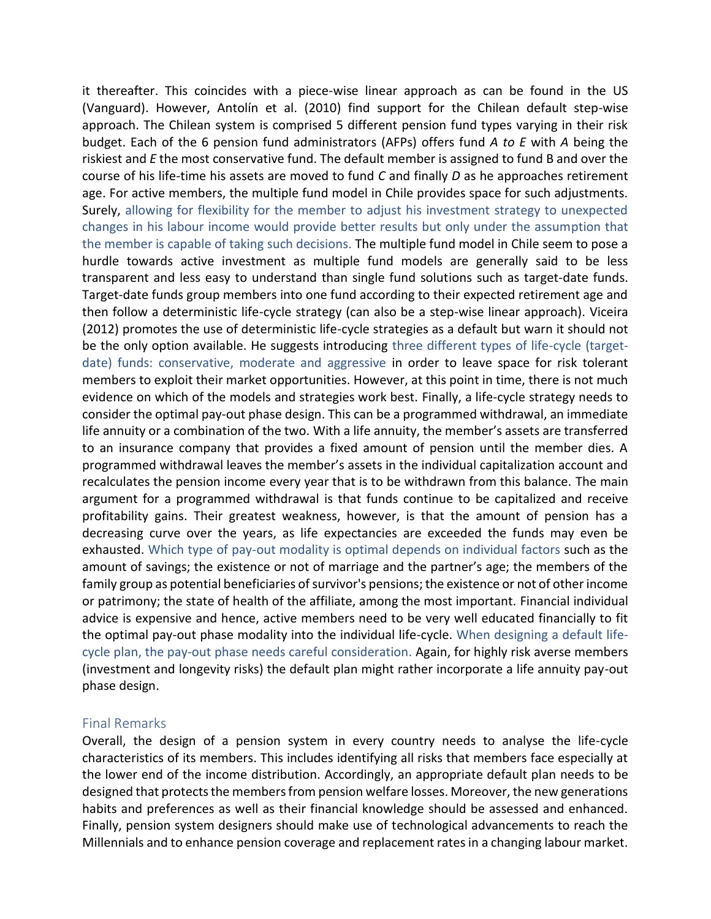it thereafter. This coincides with a piece-wise linear approach as can be found in the US (Vanguard). However, Antolín et al. (2010) find support for the Chilean default step-wise approach. The Chilean system is comprised 5 different pension fund types varying in their risk budget. Each of the 6 pension fund administrators (AFPs) offers fund *A to E* with *A* being the riskiest and *E* the most conservative fund. The default member is assigned to fund B and over the course of his life-time his assets are moved to fund *C* and finally *D* as he approaches retirement age. For active members, the multiple fund model in Chile provides space for such adjustments. Surely, allowing for flexibility for the member to adjust his investment strategy to unexpected changes in his labour income would provide better results but only under the assumption that the member is capable of taking such decisions. The multiple fund model in Chile seem to pose a hurdle towards active investment as multiple fund models are generally said to be less transparent and less easy to understand than single fund solutions such as target-date funds. Target-date funds group members into one fund according to their expected retirement age and then follow a deterministic life-cycle strategy (can also be a step-wise linear approach). Viceira (2012) promotes the use of deterministic life-cycle strategies as a default but warn it should not be the only option available. He suggests introducing three different types of life-cycle (targetdate) funds: conservative, moderate and aggressive in order to leave space for risk tolerant members to exploit their market opportunities. However, at this point in time, there is not much evidence on which of the models and strategies work best. Finally, a life-cycle strategy needs to consider the optimal pay-out phase design. This can be a programmed withdrawal, an immediate life annuity or a combination of the two. With a life annuity, the member's assets are transferred to an insurance company that provides a fixed amount of pension until the member dies. A programmed withdrawal leaves the member's assets in the individual capitalization account and recalculates the pension income every year that is to be withdrawn from this balance. The main argument for a programmed withdrawal is that funds continue to be capitalized and receive profitability gains. Their greatest weakness, however, is that the amount of pension has a decreasing curve over the years, as life expectancies are exceeded the funds may even be exhausted. Which type of pay-out modality is optimal depends on individual factors such as the amount of savings; the existence or not of marriage and the partner's age; the members of the family group as potential beneficiaries of survivor's pensions; the existence or not of other income or patrimony; the state of health of the affiliate, among the most important. Financial individual advice is expensive and hence, active members need to be very well educated financially to fit the optimal pay-out phase modality into the individual life-cycle. When designing a default lifecycle plan, the pay-out phase needs careful consideration. Again, for highly risk averse members (investment and longevity risks) the default plan might rather incorporate a life annuity pay-out phase design.

### Final Remarks

Overall, the design of a pension system in every country needs to analyse the life-cycle characteristics of its members. This includes identifying all risks that members face especially at the lower end of the income distribution. Accordingly, an appropriate default plan needs to be designed that protects the members from pension welfare losses. Moreover, the new generations habits and preferences as well as their financial knowledge should be assessed and enhanced. Finally, pension system designers should make use of technological advancements to reach the Millennials and to enhance pension coverage and replacement rates in a changing labour market.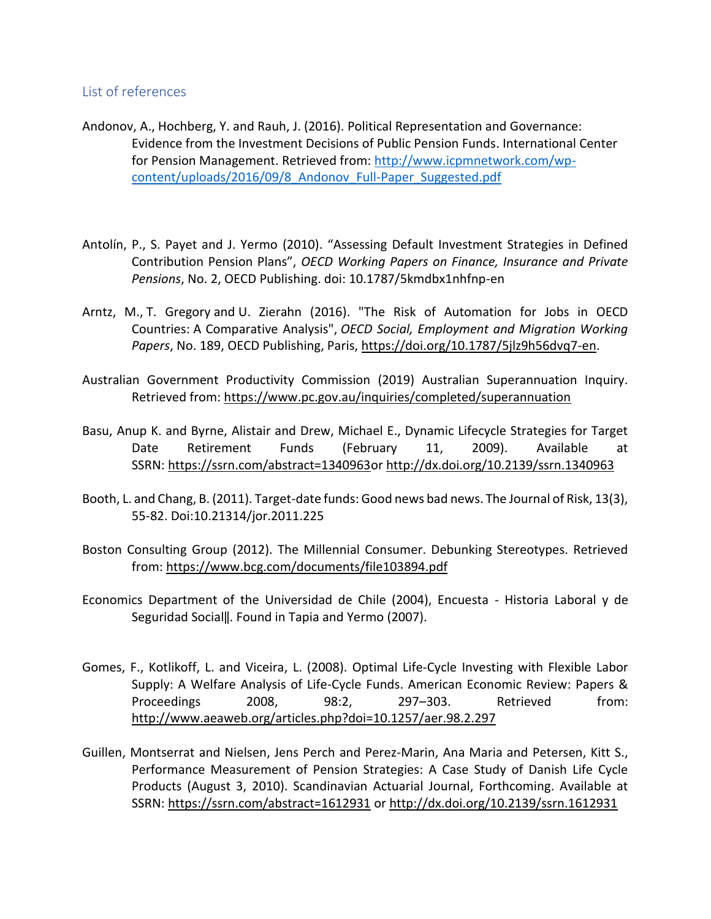### List of references

- Andonov, A., Hochberg, Y. and Rauh, J. (2016). Political Representation and Governance: Evidence from the Investment Decisions of Public Pension Funds. International Center for Pension Management. Retrieved from: [http://www.icpmnetwork.com/wp](http://www.icpmnetwork.com/wp-content/uploads/2016/09/8_Andonov_Full-Paper_Suggested.pdf)[content/uploads/2016/09/8\\_Andonov\\_Full-Paper\\_Suggested.pdf](http://www.icpmnetwork.com/wp-content/uploads/2016/09/8_Andonov_Full-Paper_Suggested.pdf)
- Antolín, P., S. Payet and J. Yermo (2010). "Assessing Default Investment Strategies in Defined Contribution Pension Plans", *OECD Working Papers on Finance, Insurance and Private Pensions*, No. 2, OECD Publishing. doi: 10.1787/5kmdbx1nhfnp-en
- Arntz, M., T. Gregory and U. Zierahn (2016). "The Risk of Automation for Jobs in OECD Countries: A Comparative Analysis", *OECD Social, Employment and Migration Working Papers*, No. 189, OECD Publishing, Paris, [https://doi.org/10.1787/5jlz9h56dvq7-en.](https://doi.org/10.1787/5jlz9h56dvq7-en)
- Australian Government Productivity Commission (2019) Australian Superannuation Inquiry. Retrieved from:<https://www.pc.gov.au/inquiries/completed/superannuation>
- Basu, Anup K. and Byrne, Alistair and Drew, Michael E., Dynamic Lifecycle Strategies for Target Date Retirement Funds (February 11, 2009). Available at SSRN: [https://ssrn.com/abstract=1340963o](https://ssrn.com/abstract=1340963)r [http://dx.doi.org/10.2139/ssrn.1340963](https://dx.doi.org/10.2139/ssrn.1340963)
- Booth, L. and Chang, B. (2011). Target-date funds: Good news bad news. The Journal of Risk, 13(3), 55-82. Doi:10.21314/jor.2011.225
- Boston Consulting Group (2012). The Millennial Consumer. Debunking Stereotypes. Retrieved from:<https://www.bcg.com/documents/file103894.pdf>
- Economics Department of the Universidad de Chile (2004), Encuesta Historia Laboral y de Seguridad Social‖. Found in Tapia and Yermo (2007).
- Gomes, F., Kotlikoff, L. and Viceira, L. (2008). Optimal Life-Cycle Investing with Flexible Labor Supply: A Welfare Analysis of Life-Cycle Funds. American Economic Review: Papers & Proceedings 2008, 98:2, 297–303. Retrieved from: <http://www.aeaweb.org/articles.php?doi=10.1257/aer.98.2.297>
- Guillen, Montserrat and Nielsen, Jens Perch and Perez-Marin, Ana Maria and Petersen, Kitt S., Performance Measurement of Pension Strategies: A Case Study of Danish Life Cycle Products (August 3, 2010). Scandinavian Actuarial Journal, Forthcoming. Available at SSRN: <https://ssrn.com/abstract=1612931> or [http://dx.doi.org/10.2139/ssrn.1612931](https://dx.doi.org/10.2139/ssrn.1612931)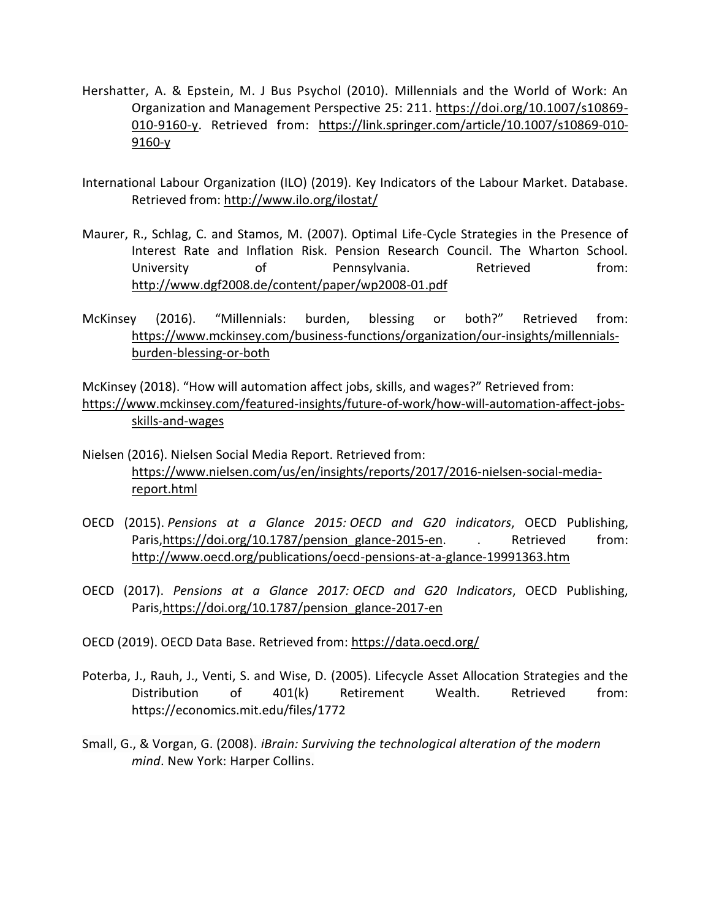- Hershatter, A. & Epstein, M. J Bus Psychol (2010). Millennials and the World of Work: An Organization and Management Perspective 25: 211. [https://doi.org/10.1007/s10869-](https://doi.org/10.1007/s10869-010-9160-y) [010-9160-y.](https://doi.org/10.1007/s10869-010-9160-y) Retrieved from: [https://link.springer.com/article/10.1007/s10869-010-](https://link.springer.com/article/10.1007/s10869-010-9160-y) [9160-y](https://link.springer.com/article/10.1007/s10869-010-9160-y)
- International Labour Organization (ILO) (2019). Key Indicators of the Labour Market. Database. Retrieved from:<http://www.ilo.org/ilostat/>
- Maurer, R., Schlag, C. and Stamos, M. (2007). Optimal Life-Cycle Strategies in the Presence of Interest Rate and Inflation Risk. Pension Research Council. The Wharton School. University of Pennsylvania. Retrieved from: <http://www.dgf2008.de/content/paper/wp2008-01.pdf>
- McKinsey (2016). "Millennials: burden, blessing or both?" Retrieved from: [https://www.mckinsey.com/business-functions/organization/our-insights/millennials](https://www.mckinsey.com/business-functions/organization/our-insights/millennials-burden-blessing-or-both)[burden-blessing-or-both](https://www.mckinsey.com/business-functions/organization/our-insights/millennials-burden-blessing-or-both)

McKinsey (2018). "How will automation affect jobs, skills, and wages?" Retrieved from: [https://www.mckinsey.com/featured-insights/future-of-work/how-will-automation-affect-jobs](https://www.mckinsey.com/featured-insights/future-of-work/how-will-automation-affect-jobs-skills-and-wages)[skills-and-wages](https://www.mckinsey.com/featured-insights/future-of-work/how-will-automation-affect-jobs-skills-and-wages)

- Nielsen (2016). Nielsen Social Media Report. Retrieved from: [https://www.nielsen.com/us/en/insights/reports/2017/2016-nielsen-social-media](https://www.nielsen.com/us/en/insights/reports/2017/2016-nielsen-social-media-report.html)[report.html](https://www.nielsen.com/us/en/insights/reports/2017/2016-nielsen-social-media-report.html)
- OECD (2015). *Pensions at a Glance 2015: OECD and G20 indicators*, OECD Publishing, Paris, https://doi.org/10.1787/pension\_glance-2015-en. . Retrieved from: <http://www.oecd.org/publications/oecd-pensions-at-a-glance-19991363.htm>
- OECD (2017). *Pensions at a Glance 2017: OECD and G20 Indicators*, OECD Publishing, Paris[,https://doi.org/10.1787/pension\\_glance-2017-en](https://doi.org/10.1787/pension_glance-2017-en)
- OECD (2019). OECD Data Base. Retrieved from:<https://data.oecd.org/>
- Poterba, J., Rauh, J., Venti, S. and Wise, D. (2005). Lifecycle Asset Allocation Strategies and the Distribution of 401(k) Retirement Wealth. Retrieved from: <https://economics.mit.edu/files/1772>
- Small, G., & Vorgan, G. (2008). *iBrain: Surviving the technological alteration of the modern mind*. New York: Harper Collins.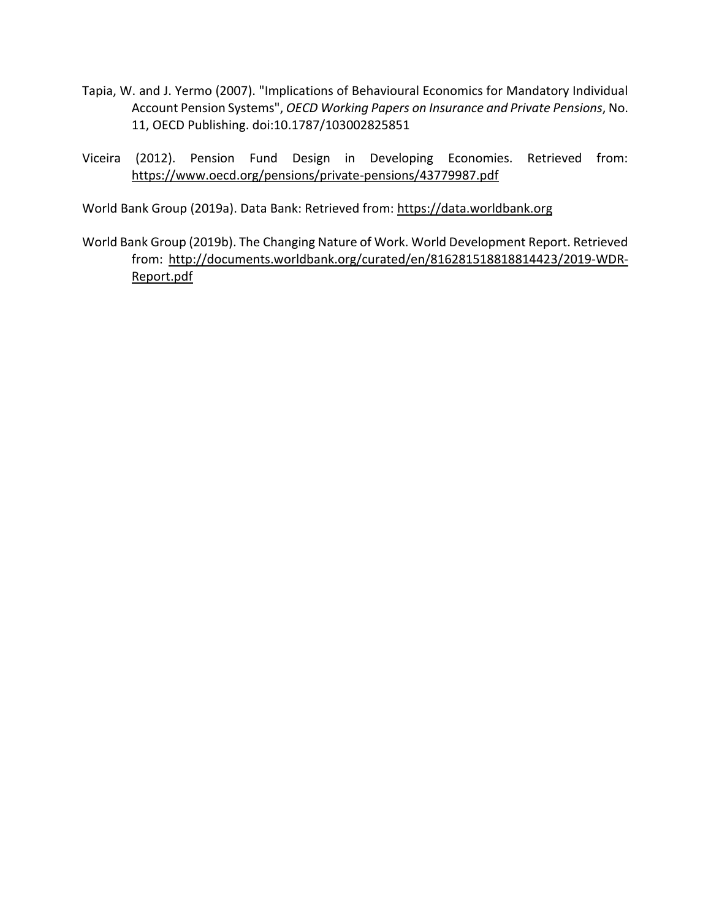- Tapia, W. and J. Yermo (2007). "Implications of Behavioural Economics for Mandatory Individual Account Pension Systems", *OECD Working Papers on Insurance and Private Pensions*, No. 11, OECD Publishing. doi:10.1787/103002825851
- Viceira (2012). Pension Fund Design in Developing Economies. Retrieved from: <https://www.oecd.org/pensions/private-pensions/43779987.pdf>

World Bank Group (2019a). Data Bank: Retrieved from: [https://data.worldbank.org](https://data.worldbank.org/)

World Bank Group (2019b). The Changing Nature of Work. World Development Report. Retrieved from: [http://documents.worldbank.org/curated/en/816281518818814423/2019-WDR-](http://documents.worldbank.org/curated/en/816281518818814423/2019-WDR-Report.pdf)[Report.pdf](http://documents.worldbank.org/curated/en/816281518818814423/2019-WDR-Report.pdf)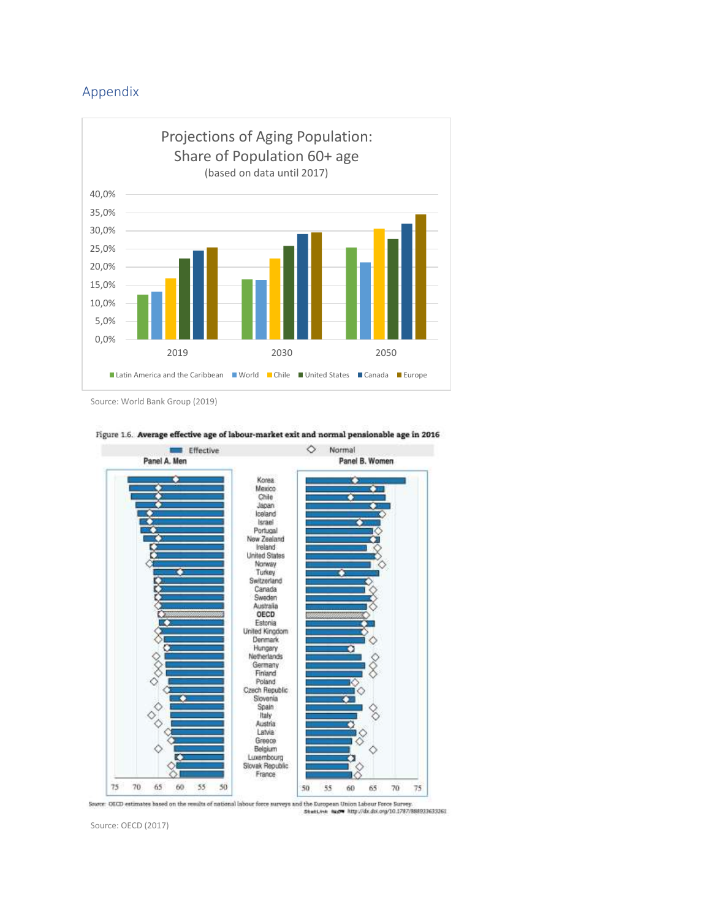### Appendix



Source: World Bank Group (2019)



#### Figure 1.6. Average effective age of labour-market exit and normal pensionable age in 2016

Source: OECD estimates based on the results of national labour force surveys and the European Union Labour Force Burvey.<br>Statt.ink augus http://dx.dxi.org/10.1787/888931633261

Source: OECD (2017)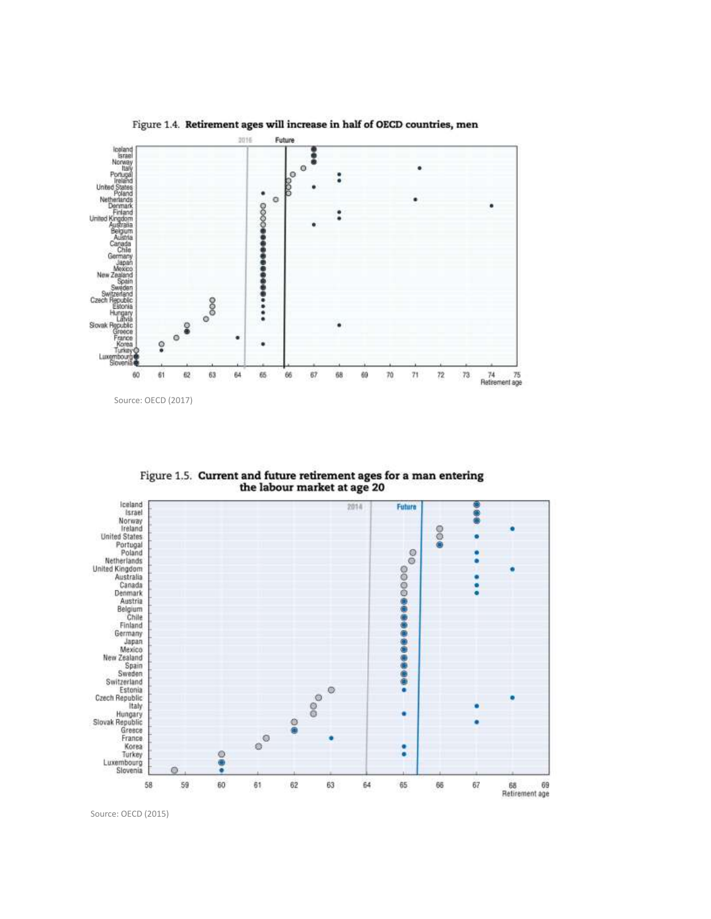

Figure 1.5. Current and future retirement ages for a man entering the labour market at age 20



Source: OECD (2015)

Figure 1.4. Retirement ages will increase in half of OECD countries, men